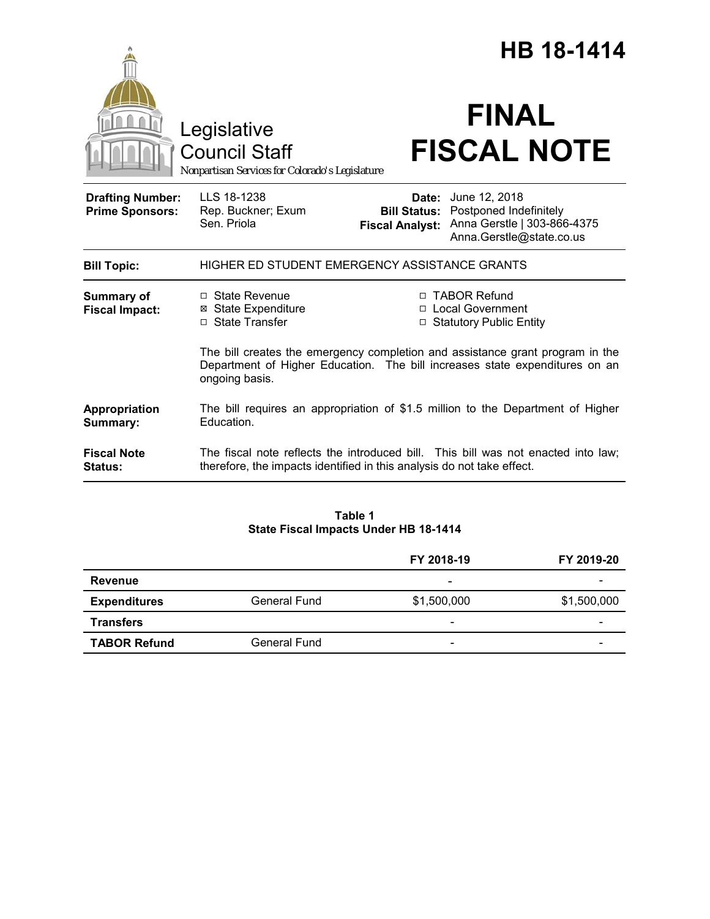|                                                   |                                                                                                                                                                                |  | <b>HB 18-1414</b>                                                                                                                                   |
|---------------------------------------------------|--------------------------------------------------------------------------------------------------------------------------------------------------------------------------------|--|-----------------------------------------------------------------------------------------------------------------------------------------------------|
|                                                   | Legislative<br><b>Council Staff</b><br>Nonpartisan Services for Colorado's Legislature                                                                                         |  | <b>FINAL</b><br><b>FISCAL NOTE</b>                                                                                                                  |
| <b>Drafting Number:</b><br><b>Prime Sponsors:</b> | LLS 18-1238<br>Rep. Buckner; Exum<br>Sen. Priola                                                                                                                               |  | <b>Date:</b> June 12, 2018<br><b>Bill Status: Postponed Indefinitely</b><br>Fiscal Analyst: Anna Gerstle   303-866-4375<br>Anna.Gerstle@state.co.us |
| <b>Bill Topic:</b>                                | HIGHER ED STUDENT EMERGENCY ASSISTANCE GRANTS                                                                                                                                  |  |                                                                                                                                                     |
| <b>Summary of</b><br><b>Fiscal Impact:</b>        | □ State Revenue<br><b>⊠ State Expenditure</b><br>□ State Transfer                                                                                                              |  | □ TABOR Refund<br>□ Local Government<br>□ Statutory Public Entity                                                                                   |
|                                                   | The bill creates the emergency completion and assistance grant program in the<br>Department of Higher Education. The bill increases state expenditures on an<br>ongoing basis. |  |                                                                                                                                                     |
| Appropriation<br>Summary:                         | Education.                                                                                                                                                                     |  | The bill requires an appropriation of \$1.5 million to the Department of Higher                                                                     |
| <b>Fiscal Note</b><br>Status:                     | therefore, the impacts identified in this analysis do not take effect.                                                                                                         |  | The fiscal note reflects the introduced bill. This bill was not enacted into law;                                                                   |

### **Table 1 State Fiscal Impacts Under HB 18-1414**

|                     |              | FY 2018-19               | FY 2019-20  |
|---------------------|--------------|--------------------------|-------------|
| Revenue             |              | ۰                        |             |
| <b>Expenditures</b> | General Fund | \$1,500,000              | \$1,500,000 |
| <b>Transfers</b>    |              | $\overline{\phantom{a}}$ | -           |
| <b>TABOR Refund</b> | General Fund | $\overline{\phantom{a}}$ | -           |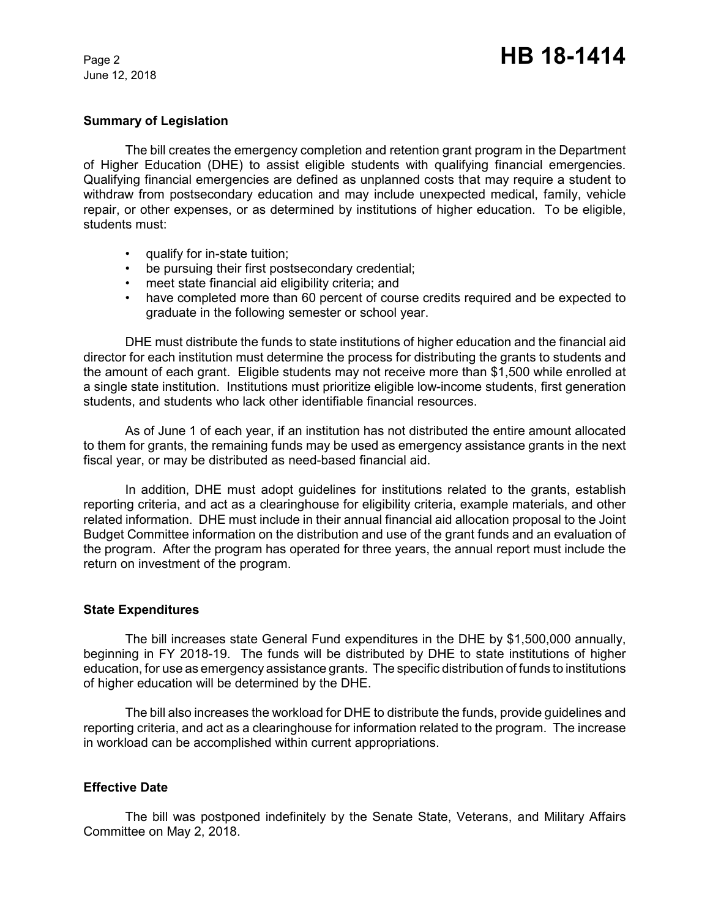June 12, 2018

#### **Summary of Legislation**

The bill creates the emergency completion and retention grant program in the Department of Higher Education (DHE) to assist eligible students with qualifying financial emergencies. Qualifying financial emergencies are defined as unplanned costs that may require a student to withdraw from postsecondary education and may include unexpected medical, family, vehicle repair, or other expenses, or as determined by institutions of higher education. To be eligible, students must:

- qualify for in-state tuition;
- be pursuing their first postsecondary credential;
- meet state financial aid eligibility criteria; and
- have completed more than 60 percent of course credits required and be expected to graduate in the following semester or school year.

DHE must distribute the funds to state institutions of higher education and the financial aid director for each institution must determine the process for distributing the grants to students and the amount of each grant. Eligible students may not receive more than \$1,500 while enrolled at a single state institution. Institutions must prioritize eligible low-income students, first generation students, and students who lack other identifiable financial resources.

As of June 1 of each year, if an institution has not distributed the entire amount allocated to them for grants, the remaining funds may be used as emergency assistance grants in the next fiscal year, or may be distributed as need-based financial aid.

In addition, DHE must adopt guidelines for institutions related to the grants, establish reporting criteria, and act as a clearinghouse for eligibility criteria, example materials, and other related information. DHE must include in their annual financial aid allocation proposal to the Joint Budget Committee information on the distribution and use of the grant funds and an evaluation of the program. After the program has operated for three years, the annual report must include the return on investment of the program.

#### **State Expenditures**

The bill increases state General Fund expenditures in the DHE by \$1,500,000 annually, beginning in FY 2018-19. The funds will be distributed by DHE to state institutions of higher education, for use as emergency assistance grants. The specific distribution of funds to institutions of higher education will be determined by the DHE.

The bill also increases the workload for DHE to distribute the funds, provide guidelines and reporting criteria, and act as a clearinghouse for information related to the program. The increase in workload can be accomplished within current appropriations.

## **Effective Date**

The bill was postponed indefinitely by the Senate State, Veterans, and Military Affairs Committee on May 2, 2018.